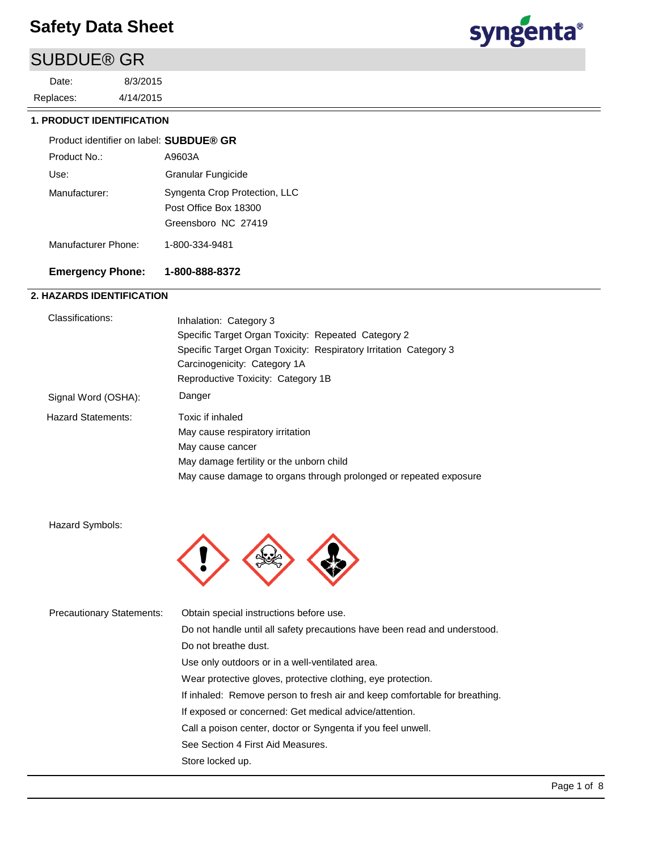### SUBDUE® GR

4/14/2015 8/3/2015 Replaces: Date:



### **1. PRODUCT IDENTIFICATION**

| Product identifier on label: SUBDUE® GR |                                                                               |
|-----------------------------------------|-------------------------------------------------------------------------------|
| Product No.:                            | A9603A                                                                        |
| Use:                                    | Granular Fungicide                                                            |
| Manufacturer:                           | Syngenta Crop Protection, LLC<br>Post Office Box 18300<br>Greensboro NC 27419 |
| Manufacturer Phone:                     | 1-800-334-9481                                                                |

### **Emergency Phone: 1-800-888-8372**

### **2. HAZARDS IDENTIFICATION**

| Classifications:          | Inhalation: Category 3                                            |
|---------------------------|-------------------------------------------------------------------|
|                           | Specific Target Organ Toxicity: Repeated Category 2               |
|                           | Specific Target Organ Toxicity: Respiratory Irritation Category 3 |
|                           | Carcinogenicity: Category 1A                                      |
|                           | Reproductive Toxicity: Category 1B                                |
| Signal Word (OSHA):       | Danger                                                            |
| <b>Hazard Statements:</b> | Toxic if inhaled                                                  |
|                           | May cause respiratory irritation                                  |
|                           | May cause cancer                                                  |
|                           | May damage fertility or the unborn child                          |
|                           | May cause damage to organs through prolonged or repeated exposure |

Hazard Symbols:



| <b>Precautionary Statements:</b> | Obtain special instructions before use.                                    |
|----------------------------------|----------------------------------------------------------------------------|
|                                  | Do not handle until all safety precautions have been read and understood.  |
|                                  | Do not breathe dust.                                                       |
|                                  | Use only outdoors or in a well-ventilated area.                            |
|                                  | Wear protective gloves, protective clothing, eye protection.               |
|                                  | If inhaled: Remove person to fresh air and keep comfortable for breathing. |
|                                  | If exposed or concerned: Get medical advice/attention.                     |
|                                  | Call a poison center, doctor or Syngenta if you feel unwell.               |
|                                  | See Section 4 First Aid Measures.                                          |
|                                  | Store locked up.                                                           |
|                                  |                                                                            |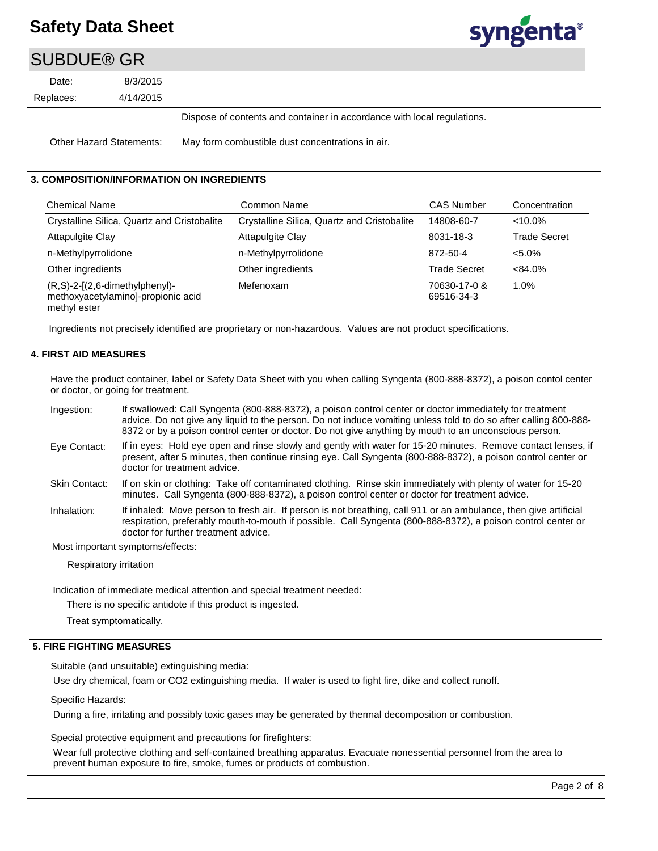

### SUBDUE® GR

4/14/2015 8/3/2015 Replaces: Date:

Dispose of contents and container in accordance with local regulations.

Other Hazard Statements: May form combustible dust concentrations in air.

### **3. COMPOSITION/INFORMATION ON INGREDIENTS**

| <b>Chemical Name</b>                                                                              | Common Name                                 | <b>CAS Number</b>          | Concentration       |
|---------------------------------------------------------------------------------------------------|---------------------------------------------|----------------------------|---------------------|
| Crystalline Silica, Quartz and Cristobalite                                                       | Crystalline Silica, Quartz and Cristobalite | 14808-60-7                 | $<10.0\%$           |
| Attapulgite Clay                                                                                  | <b>Attapulgite Clay</b>                     | 8031-18-3                  | <b>Trade Secret</b> |
| n-Methylpyrrolidone                                                                               | n-Methylpyrrolidone                         | 872-50-4                   | $< 5.0\%$           |
| Other ingredients                                                                                 | Other ingredients                           | Trade Secret               | $<84.0\%$           |
| $(R, S)$ -2- $[(2, 6$ -dimethylphenyl $)$ -<br>methoxyacetylamino]-propionic acid<br>methyl ester | Mefenoxam                                   | 70630-17-0 &<br>69516-34-3 | 1.0%                |

Ingredients not precisely identified are proprietary or non-hazardous. Values are not product specifications.

### **4. FIRST AID MEASURES**

Have the product container, label or Safety Data Sheet with you when calling Syngenta (800-888-8372), a poison contol center or doctor, or going for treatment.

| Ingestion:         | If swallowed: Call Syngenta (800-888-8372), a poison control center or doctor immediately for treatment          |
|--------------------|------------------------------------------------------------------------------------------------------------------|
|                    | advice. Do not give any liquid to the person. Do not induce vomiting unless told to do so after calling 800-888- |
|                    | 8372 or by a poison control center or doctor. Do not give anything by mouth to an unconscious person.            |
| $E_{1/2}$ Contact: | If in guge: Hold ave open and rinse slowly and gently with water for 15-20 minutes. Remove contact lenses if     |

- If in eyes: Hold eye open and rinse slowly and gently with water for 15-20 minutes. Remove contact lenses, if present, after 5 minutes, then continue rinsing eye. Call Syngenta (800-888-8372), a poison control center or doctor for treatment advice. Eye Contact:
- If on skin or clothing: Take off contaminated clothing. Rinse skin immediately with plenty of water for 15-20 minutes. Call Syngenta (800-888-8372), a poison control center or doctor for treatment advice. Skin Contact:
- If inhaled: Move person to fresh air. If person is not breathing, call 911 or an ambulance, then give artificial respiration, preferably mouth-to-mouth if possible. Call Syngenta (800-888-8372), a poison control center or doctor for further treatment advice. Inhalation:

Most important symptoms/effects:

Respiratory irritation

Indication of immediate medical attention and special treatment needed:

There is no specific antidote if this product is ingested.

Treat symptomatically.

### **5. FIRE FIGHTING MEASURES**

Suitable (and unsuitable) extinguishing media:

Use dry chemical, foam or CO2 extinguishing media. If water is used to fight fire, dike and collect runoff.

Specific Hazards:

During a fire, irritating and possibly toxic gases may be generated by thermal decomposition or combustion.

Special protective equipment and precautions for firefighters:

Wear full protective clothing and self-contained breathing apparatus. Evacuate nonessential personnel from the area to prevent human exposure to fire, smoke, fumes or products of combustion.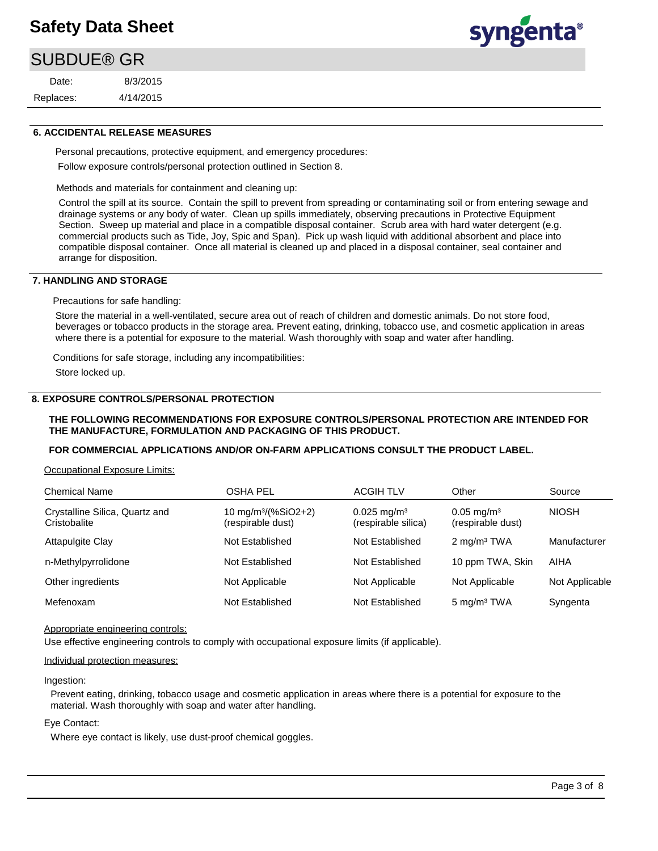### SUBDUE® GR

4/14/2015 8/3/2015 Replaces: Date:



### **6. ACCIDENTAL RELEASE MEASURES**

Personal precautions, protective equipment, and emergency procedures: Follow exposure controls/personal protection outlined in Section 8.

Methods and materials for containment and cleaning up:

Control the spill at its source. Contain the spill to prevent from spreading or contaminating soil or from entering sewage and drainage systems or any body of water. Clean up spills immediately, observing precautions in Protective Equipment Section. Sweep up material and place in a compatible disposal container. Scrub area with hard water detergent (e.g. commercial products such as Tide, Joy, Spic and Span). Pick up wash liquid with additional absorbent and place into compatible disposal container. Once all material is cleaned up and placed in a disposal container, seal container and arrange for disposition.

### **7. HANDLING AND STORAGE**

Precautions for safe handling:

Store the material in a well-ventilated, secure area out of reach of children and domestic animals. Do not store food, beverages or tobacco products in the storage area. Prevent eating, drinking, tobacco use, and cosmetic application in areas where there is a potential for exposure to the material. Wash thoroughly with soap and water after handling.

Conditions for safe storage, including any incompatibilities: Store locked up.

### **8. EXPOSURE CONTROLS/PERSONAL PROTECTION**

### **THE FOLLOWING RECOMMENDATIONS FOR EXPOSURE CONTROLS/PERSONAL PROTECTION ARE INTENDED FOR THE MANUFACTURE, FORMULATION AND PACKAGING OF THIS PRODUCT.**

### **FOR COMMERCIAL APPLICATIONS AND/OR ON-FARM APPLICATIONS CONSULT THE PRODUCT LABEL.**

#### Occupational Exposure Limits:

| <b>Chemical Name</b>                           | <b>OSHA PEL</b>                                      | <b>ACGIH TLV</b>                              | Other                                         | Source         |
|------------------------------------------------|------------------------------------------------------|-----------------------------------------------|-----------------------------------------------|----------------|
| Crystalline Silica, Quartz and<br>Cristobalite | 10 mg/m <sup>3</sup> /(%SiO2+2)<br>(respirable dust) | $0.025 \text{ mg/m}^3$<br>(respirable silica) | $0.05$ mg/m <sup>3</sup><br>(respirable dust) | <b>NIOSH</b>   |
| Attapulgite Clay                               | Not Established                                      | Not Established                               | $2 \text{ mg/m}^3$ TWA                        | Manufacturer   |
| n-Methylpyrrolidone                            | Not Established                                      | Not Established                               | 10 ppm TWA, Skin                              | AIHA           |
| Other ingredients                              | Not Applicable                                       | Not Applicable                                | Not Applicable                                | Not Applicable |
| Mefenoxam                                      | Not Established                                      | Not Established                               | 5 mg/m <sup>3</sup> TWA                       | Syngenta       |

#### Appropriate engineering controls:

Use effective engineering controls to comply with occupational exposure limits (if applicable).

#### Individual protection measures:

#### Ingestion:

Prevent eating, drinking, tobacco usage and cosmetic application in areas where there is a potential for exposure to the material. Wash thoroughly with soap and water after handling.

#### Eye Contact:

Where eye contact is likely, use dust-proof chemical goggles.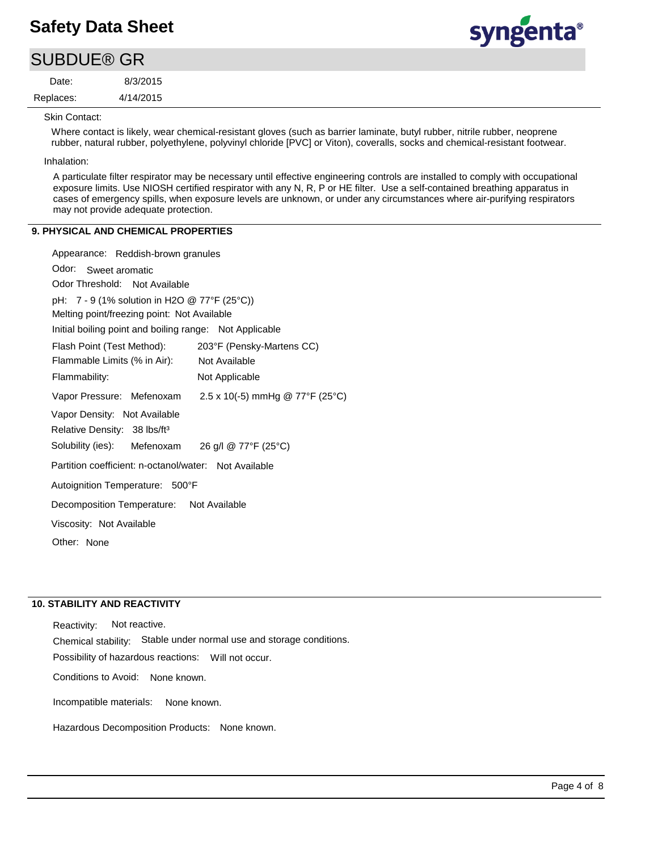### SUBDUE® GR

4/14/2015 8/3/2015 Replaces: Date:



Skin Contact:

Where contact is likely, wear chemical-resistant gloves (such as barrier laminate, butyl rubber, nitrile rubber, neoprene rubber, natural rubber, polyethylene, polyvinyl chloride [PVC] or Viton), coveralls, socks and chemical-resistant footwear.

Inhalation:

A particulate filter respirator may be necessary until effective engineering controls are installed to comply with occupational exposure limits. Use NIOSH certified respirator with any N, R, P or HE filter. Use a self-contained breathing apparatus in cases of emergency spills, when exposure levels are unknown, or under any circumstances where air-purifying respirators may not provide adequate protection.

### **9. PHYSICAL AND CHEMICAL PROPERTIES**

| Appearance: Reddish-brown granules                      |                                 |  |  |
|---------------------------------------------------------|---------------------------------|--|--|
| Odor: Sweet aromatic                                    |                                 |  |  |
| Odor Threshold: Not Available                           |                                 |  |  |
| pH: 7 - 9 (1% solution in H2O @ 77°F (25°C))            |                                 |  |  |
| Melting point/freezing point: Not Available             |                                 |  |  |
| Initial boiling point and boiling range: Not Applicable |                                 |  |  |
| Flash Point (Test Method):                              | 203°F (Pensky-Martens CC)       |  |  |
| Flammable Limits (% in Air):                            | Not Available                   |  |  |
| Flammability:                                           | Not Applicable                  |  |  |
| Vapor Pressure: Mefenoxam                               | 2.5 x 10(-5) mmHg @ 77°F (25°C) |  |  |
| Vapor Density: Not Available                            |                                 |  |  |
| Relative Density: 38 lbs/ft <sup>3</sup>                |                                 |  |  |
| Solubility (ies): Mefenoxam 26 g/l @ 77°F (25°C)        |                                 |  |  |
| Partition coefficient: n-octanol/water: Not Available   |                                 |  |  |
| Autoignition Temperature: 500°F                         |                                 |  |  |
| Decomposition Temperature: Not Available                |                                 |  |  |
| Viscosity: Not Available                                |                                 |  |  |
| Other: None                                             |                                 |  |  |

### **10. STABILITY AND REACTIVITY**

Incompatible materials: Possibility of hazardous reactions: Will not occur. Chemical stability: Stable under normal use and storage conditions. Hazardous Decomposition Products: None known. Reactivity: Not reactive. Conditions to Avoid: None known. None known.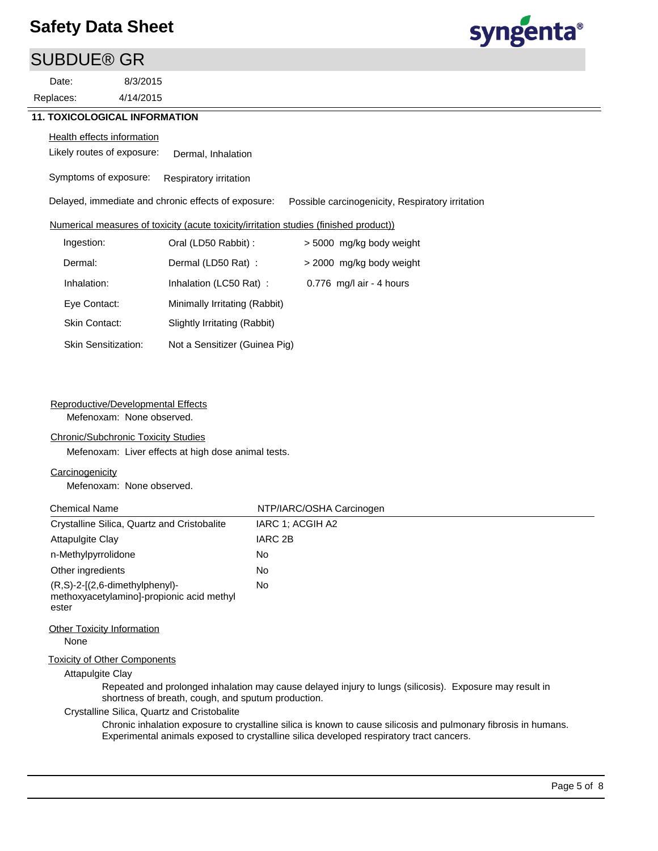### SUBDUE® GR

8/3/2015 Replaces: Date:

4/14/2015



### **11. TOXICOLOGICAL INFORMATION**

### **Health effects information**

Likely routes of exposure: Dermal, Inhalation

Symptoms of exposure: Respiratory irritation

Delayed, immediate and chronic effects of exposure: Possible carcinogenicity, Respiratory irritation

### Numerical measures of toxicity (acute toxicity/irritation studies (finished product))

| Ingestion:                 | Oral (LD50 Rabbit) :          | > 5000 mg/kg body weight   |
|----------------------------|-------------------------------|----------------------------|
| Dermal:                    | Dermal (LD50 Rat):            | > 2000 mg/kg body weight   |
| Inhalation:                | Inhalation (LC50 Rat):        | $0.776$ mg/l air - 4 hours |
| Eye Contact:               | Minimally Irritating (Rabbit) |                            |
| Skin Contact:              | Slightly Irritating (Rabbit)  |                            |
| <b>Skin Sensitization:</b> | Not a Sensitizer (Guinea Pig) |                            |

### Reproductive/Developmental Effects

Mefenoxam: None observed.

### Chronic/Subchronic Toxicity Studies

Mefenoxam: Liver effects at high dose animal tests.

### **Carcinogenicity**

Mefenoxam: None observed.

| <b>Chemical Name</b>                                                                    | NTP/IARC/OSHA Carcinogen |
|-----------------------------------------------------------------------------------------|--------------------------|
| Crystalline Silica, Quartz and Cristobalite                                             | IARC 1: ACGIH A2         |
| Attapulgite Clay                                                                        | <b>IARC 2B</b>           |
| n-Methylpyrrolidone                                                                     | No                       |
| Other ingredients                                                                       | No                       |
| $(R, S)-2-[2, 6-dimethylphenyl)-$<br>methoxyacetylamino]-propionic acid methyl<br>ester | No                       |
| Other Toxicity Information<br>None                                                      |                          |
| <b>Toxicity of Other Components</b><br><b>Attapulgite Clay</b>                          |                          |

Repeated and prolonged inhalation may cause delayed injury to lungs (silicosis). Exposure may result in shortness of breath, cough, and sputum production.

#### Crystalline Silica, Quartz and Cristobalite

Chronic inhalation exposure to crystalline silica is known to cause silicosis and pulmonary fibrosis in humans. Experimental animals exposed to crystalline silica developed respiratory tract cancers.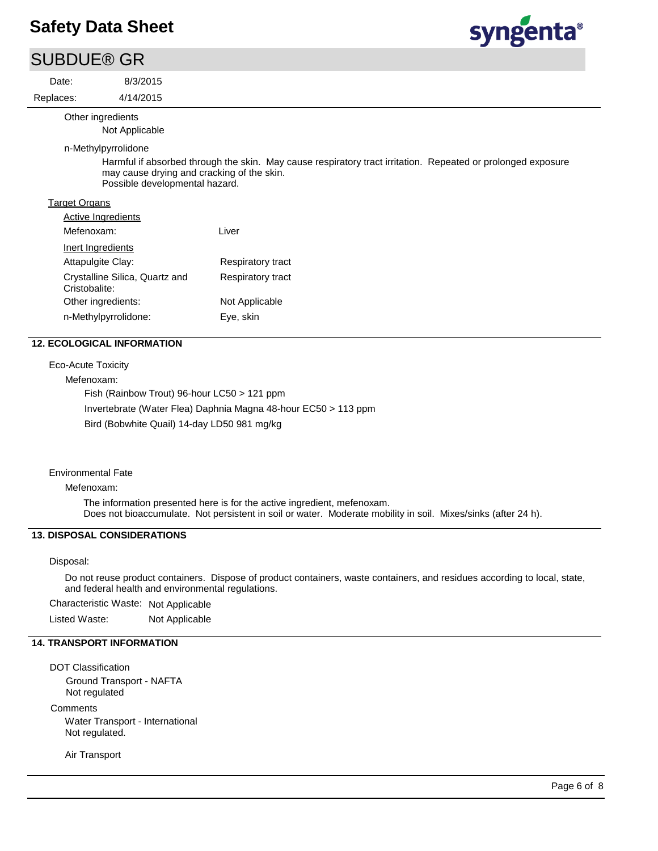### SUBDUE® GR

Date:

Replaces:

Other ingredients

Not Applicable

4/14/2015 8/3/2015

n-Methylpyrrolidone

Harmful if absorbed through the skin. May cause respiratory tract irritation. Repeated or prolonged exposure may cause drying and cracking of the skin. Possible developmental hazard.

### Target Organs

| <b>Active Ingredients</b>                       |                   |
|-------------------------------------------------|-------------------|
| Mefenoxam:                                      | Liver             |
| Inert Ingredients                               |                   |
| Attapulgite Clay:                               | Respiratory tract |
| Crystalline Silica, Quartz and<br>Cristobalite: | Respiratory tract |
| Other ingredients:                              | Not Applicable    |
| n-Methylpyrrolidone:                            | Eve, skin         |

### **12. ECOLOGICAL INFORMATION**

Eco-Acute Toxicity

Mefenoxam:

Fish (Rainbow Trout) 96-hour LC50 > 121 ppm

Invertebrate (Water Flea) Daphnia Magna 48-hour EC50 > 113 ppm

Bird (Bobwhite Quail) 14-day LD50 981 mg/kg

### Environmental Fate

Mefenoxam:

The information presented here is for the active ingredient, mefenoxam. Does not bioaccumulate. Not persistent in soil or water. Moderate mobility in soil. Mixes/sinks (after 24 h).

### **13. DISPOSAL CONSIDERATIONS**

#### Disposal:

Do not reuse product containers. Dispose of product containers, waste containers, and residues according to local, state, and federal health and environmental regulations.

Characteristic Waste: Not Applicable

Listed Waste: Not Applicable

### **14. TRANSPORT INFORMATION**

DOT Classification Ground Transport - NAFTA Not regulated

**Comments** Water Transport - International Not regulated.

Air Transport

syngenta®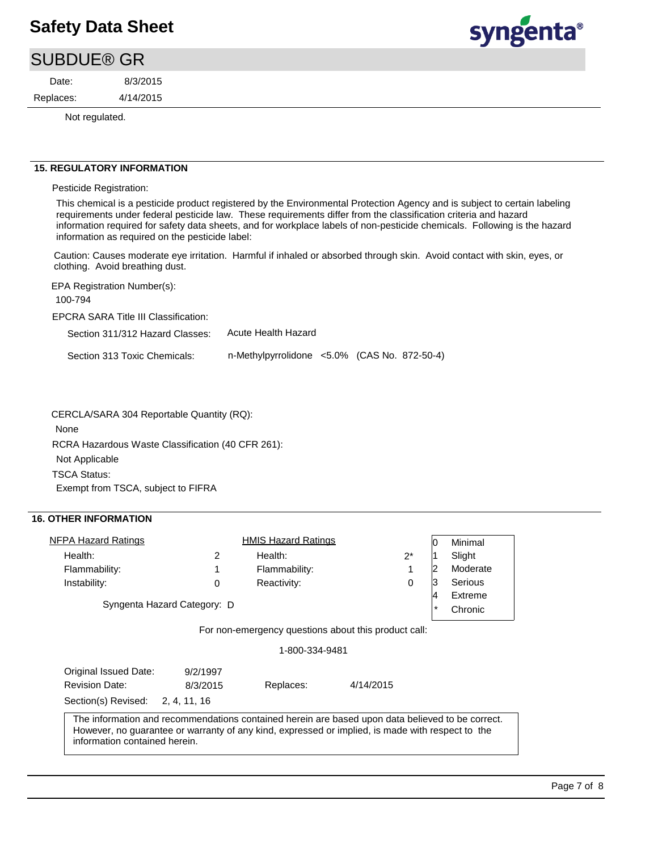# syngenta®

| SUBDUE® GR     |           |
|----------------|-----------|
| Date:          | 8/3/2015  |
| Replaces:      | 4/14/2015 |
| Not regulated. |           |

### **15. REGULATORY INFORMATION**

Pesticide Registration:

This chemical is a pesticide product registered by the Environmental Protection Agency and is subject to certain labeling requirements under federal pesticide law. These requirements differ from the classification criteria and hazard information required for safety data sheets, and for workplace labels of non-pesticide chemicals. Following is the hazard information as required on the pesticide label:

Caution: Causes moderate eye irritation. Harmful if inhaled or absorbed through skin. Avoid contact with skin, eyes, or clothing. Avoid breathing dust.

EPA Registration Number(s):

100-794

EPCRA SARA Title III Classification:

| Section 311/312 Hazard Classes: | Acute Health Hazard                                 |  |  |
|---------------------------------|-----------------------------------------------------|--|--|
| Section 313 Toxic Chemicals:    | n-Methylpyrrolidone $\leq 5.0\%$ (CAS No. 872-50-4) |  |  |

CERCLA/SARA 304 Reportable Quantity (RQ):

None

RCRA Hazardous Waste Classification (40 CFR 261):

Not Applicable

TSCA Status:

Exempt from TSCA, subject to FIFRA

### **16. OTHER INFORMATION**

| NFPA Hazard Ratings                   |   | <b>HMIS Hazard Ratings</b> |       | 0  | Minimal  |
|---------------------------------------|---|----------------------------|-------|----|----------|
| Health:                               |   | Health:                    | $2^*$ |    | Slight   |
| Flammability:                         |   | Flammability:              |       |    | Moderate |
| Instability:                          | 0 | Reactivity:                | 0     | ıЗ | Serious  |
| 4<br>Syngenta Hazard Category: D<br>* |   |                            |       |    | Extreme  |
|                                       |   |                            |       |    | Chronic  |
|                                       |   |                            |       |    |          |

For non-emergency questions about this product call:

1-800-334-9481

| Original Issued Date:            | 9/2/1997 |           |                                                                                                                                                                                                      |  |
|----------------------------------|----------|-----------|------------------------------------------------------------------------------------------------------------------------------------------------------------------------------------------------------|--|
| <b>Revision Date:</b>            | 8/3/2015 | Replaces: | 4/14/2015                                                                                                                                                                                            |  |
| Section(s) Revised: 2, 4, 11, 16 |          |           |                                                                                                                                                                                                      |  |
| information contained herein.    |          |           | The information and recommendations contained herein are based upon data believed to be correct.<br>However, no quarantee or warranty of any kind, expressed or implied, is made with respect to the |  |